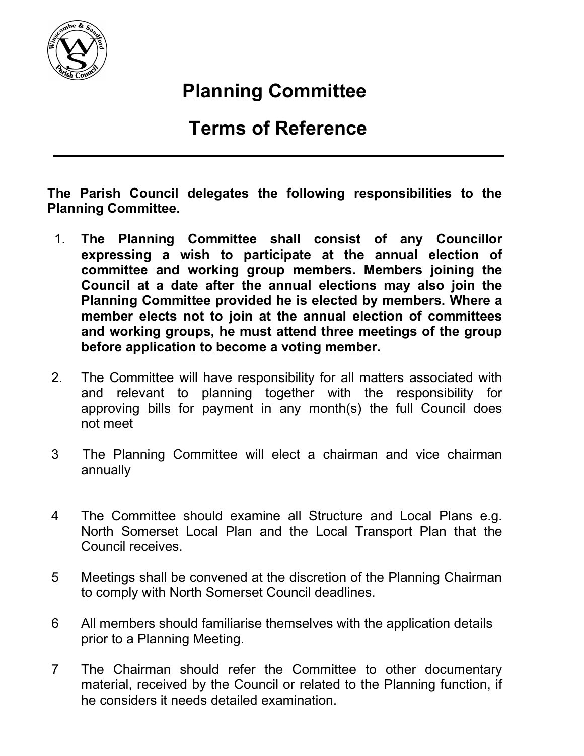

## Planning Committee

## Terms of Reference

The Parish Council delegates the following responsibilities to the Planning Committee.

- 1. The Planning Committee shall consist of any Councillor expressing a wish to participate at the annual election of committee and working group members. Members joining the Council at a date after the annual elections may also join the Planning Committee provided he is elected by members. Where a member elects not to join at the annual election of committees and working groups, he must attend three meetings of the group before application to become a voting member.
- 2. The Committee will have responsibility for all matters associated with and relevant to planning together with the responsibility for approving bills for payment in any month(s) the full Council does not meet
- 3 The Planning Committee will elect a chairman and vice chairman annually
- 4 The Committee should examine all Structure and Local Plans e.g. North Somerset Local Plan and the Local Transport Plan that the Council receives.
- 5 Meetings shall be convened at the discretion of the Planning Chairman to comply with North Somerset Council deadlines.
- 6 All members should familiarise themselves with the application details prior to a Planning Meeting.
- 7 The Chairman should refer the Committee to other documentary material, received by the Council or related to the Planning function, if he considers it needs detailed examination.